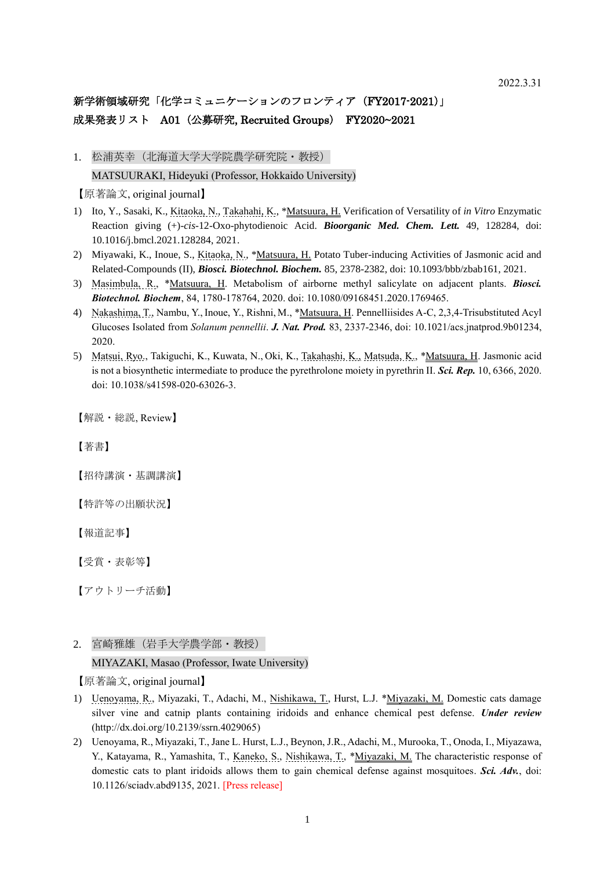# 新学術領域研究「化学コミュニケーションのフロンティア (FY2017-2021)」 成果発表リスト A01 (公募研究, Recruited Groups) FY2020~2021

1. 松浦英幸(北海道大学大学院農学研究院·教授) MATSUURAKI, Hideyuki (Professor, Hokkaido University)

【原著論文, original journal】

- 1) Ito, Y., Sasaki, K., Kitaoka, N., Takahahi, K., \*Matsuura, H. Verification of Versatility of *in Vitro* Enzymatic Reaction giving (+)-*cis*-12-Oxo-phytodienoic Acid. *Bioorganic Med. Chem. Lett.* 49, 128284, doi: 10.1016/j.bmcl.2021.128284, 2021.
- 2) Miyawaki, K., Inoue, S., Kitaoka, N., \*Matsuura, H. Potato Tuber-inducing Activities of Jasmonic acid and Related-Compounds (II), *Biosci. Biotechnol. Biochem.* 85, 2378-2382, doi: 10.1093/bbb/zbab161, 2021.
- 3) Masimbula, R., \*Matsuura, H. Metabolism of airborne methyl salicylate on adjacent plants. *Biosci. Biotechnol. Biochem*, 84, 1780-178764, 2020. doi: 10.1080/09168451.2020.1769465.
- 4) Nakashima, T., Nambu, Y., Inoue, Y., Rishni, M., \*Matsuura, H. Pennelliisides A-C, 2,3,4-Trisubstituted Acyl Glucoses Isolated from *Solanum pennellii*. *J. Nat. Prod.* 83, 2337-2346, doi: 10.1021/acs.jnatprod.9b01234, 2020.
- 5) Matsui, Ryo., Takiguchi, K., Kuwata, N., Oki, K., Takahashi, K., Matsuda, K., \*Matsuura, H. Jasmonic acid is not a biosynthetic intermediate to produce the pyrethrolone moiety in pyrethrin II. *Sci. Rep.* 10, 6366, 2020. doi: 10.1038/s41598-020-63026-3.

【解説・総説, Review】

【著書】

【招待講演・基調講演】

【特許等の出願状況】

【報道記事】

【受賞・表彰等】

【アウトリーチ活動】

2. 宮崎雅雄(岩手大学農学部・教授)

MIYAZAKI, Masao (Professor, Iwate University)

【原著論文, original journal】

- 1) Uenoyama, R., Miyazaki, T., Adachi, M., Nishikawa, T., Hurst, L.J. \*Miyazaki, M. Domestic cats damage silver vine and catnip plants containing iridoids and enhance chemical pest defense. *Under review* (http://dx.doi.org/10.2139/ssrn.4029065)
- 2) Uenoyama, R., Miyazaki, T., Jane L. Hurst, L.J., Beynon, J.R., Adachi, M., Murooka, T., Onoda, I., Miyazawa, Y., Katayama, R., Yamashita, T., Kaneko, S., Nishikawa, T., \*Miyazaki, M. The characteristic response of domestic cats to plant iridoids allows them to gain chemical defense against mosquitoes. *Sci. Adv.*, doi: 10.1126/sciadv.abd9135, 2021. [Press release]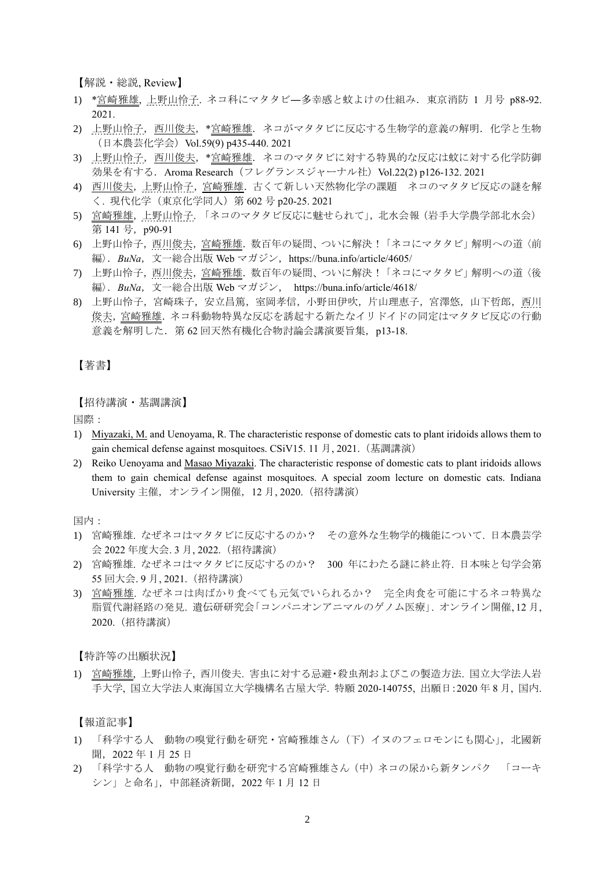【解説・総説, Review】

- 1) \*宮崎雅雄, 上野山怜子. ネコ科にマタタビ―多幸感と蚊よけの仕組み.東京消防 1 月号 p88-92. 2021
- 2) 上野山怜子, 西川俊夫, \*宮崎雅雄. ネコがマタタビに反応する生物学的意義の解明. 化学と生物 (日本農芸化学会)Vol.59(9) p435-440. 2021
- 3) 上野山怜子,西川俊夫,\*宮崎雅雄.ネコのマタタビに対する特異的な反応は蚊に対する化学防御 効果を有する. Aroma Research (フレグランスジャーナル社) Vol.22(2) p126-132. 2021
- 4) 西川俊夫,上野山怜子,宮崎雅雄.古くて新しい天然物化学の課題 ネコのマタタビ反応の謎を解 く. 現代化学(東京化学同人)第 602 号 p20-25. 2021
- 5) 宮崎雅雄,上野山怜子. 「ネコのマタタビ反応に魅せられて」,北水会報(岩手大学農学部北水会) 第 141 号, p90-91
- 6) 上野山怜子,西川俊夫,宮崎雅雄. 数百年の疑問、ついに解決!「ネコにマタタビ」解明への道〈前 編). BuNa, 文一総合出版 Web マガジン, https://buna.info/article/4605/
- 7) 上野山怜子,西川俊夫,宮崎雅雄.数百年の疑問、ついに解決!「ネコにマタタビ」解明への道〈後 編〉.*BuNa*,文一総合出版 Web マガジン, <https://buna.info/article/4618/>
- 8) 上野山怜子,宮崎珠子,安立昌篤,室岡孝信,小野田伊吹,片山理恵子,宮澤悠,山下哲郎,西川 俊夫,宮崎雅雄.ネコ科動物特異な反応を誘起する新たなイリドイドの同定はマタタビ反応の行動 意義を解明した. 第 62 回天然有機化合物討論会講演要旨集, p13-18.

#### 【著書】

【招待講演・基調講演】

国際:

- 1) Miyazaki, M. and Uenoyama, R. The characteristic response of domestic cats to plant iridoids allows them to gain chemical defense against mosquitoes. CSiV15. 11 月, 2021.(基調講演)
- 2) Reiko Uenoyama and Masao Miyazaki. The characteristic response of domestic cats to plant iridoids allows them to gain chemical defense against mosquitoes. A special zoom lecture on domestic cats. Indiana University 主催,オンライン開催,12 月, 2020.(招待講演)

国内:

- 1) 宮崎雅雄. なぜネコはマタタビに反応するのか? その意外な生物学的機能について. 日本農芸学 会 2022 年度大会. 3 月, 2022.(招待講演)
- 2) 宮崎雅雄. なぜネコはマタタビに反応するのか? 300 年にわたる謎に終止符. 日本味と匂学会第 55 回大会. 9 月, 2021.(招待講演)
- 3) 宮崎雅雄. なぜネコは肉ばかり食べても元気でいられるか? 完全肉食を可能にするネコ特異な 脂質代謝経路の発見. 遺伝研研究会「コンパニオンアニマルのゲノム医療」. オンライン開催, 12 月, 2020.(招待講演)

【特許等の出願状況】

1) 宮崎雅雄, 上野山怜子, 西川俊夫. 害虫に対する忌避・殺虫剤およびこの製造方法. 国立大学法人岩 手大学, 国立大学法人東海国立大学機構名古屋大学. 特願 2020-140755, 出願日:2020 年 8 月, 国内.

【報道記事】

- 1) 「科学する人 動物の嗅覚行動を研究・宮崎雅雄さん(下)イヌのフェロモンにも関心」,北國新 聞,2022 年 1 月 25 日
- 2) 「科学する人 動物の嗅覚行動を研究する宮崎雅雄さん(中)ネコの尿から新タンパク 「コーキ シン」と命名」,中部経済新聞,2022 年 1 月 12 日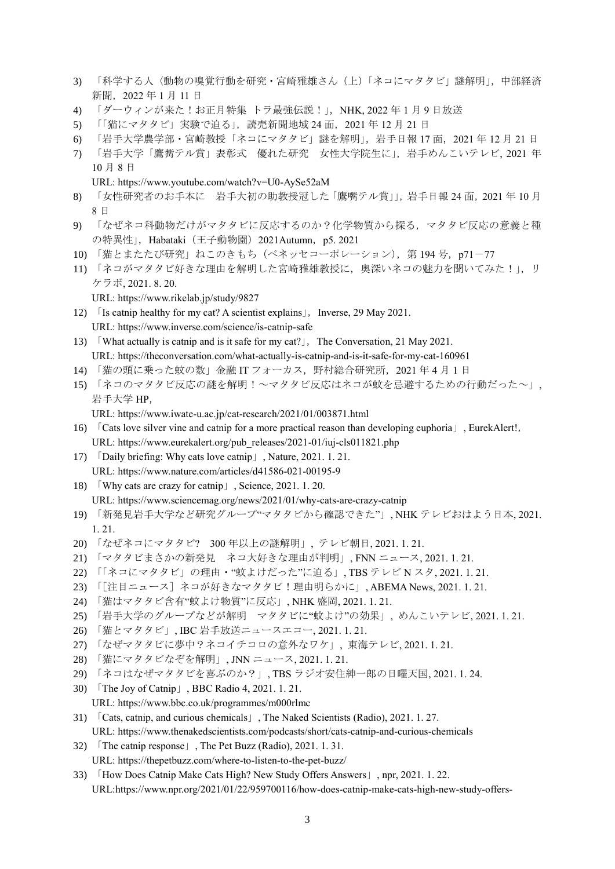- 3) 「科学する人〈動物の嗅覚行動を研究・宮崎雅雄さん(上)「ネコにマタタビ」謎解明」,中部経済 新聞,2022 年 1 月 11 日
- 4) 「ダーウィンが来た!お正月特集 トラ最強伝説!」,NHK, 2022 年 1 月 9 日放送
- 5) 「猫にマタタビ」実験で迫る」,読売新聞地域 24 面, 2021 年 12 月 21 日
- 6) 「岩手大学農学部・宮崎教授「ネコにマタタビ」謎を解明」,岩手日報 17 面,2021 年 12 月 21 日
- 7) 「岩手大学「鷹觜テル賞」表彰式 優れた研究 女性大学院生に」,岩手めんこいテレビ, 2021 年 10 月 8 日
	- URL: https://www.youtube.com/watch?v=U0-AySe52aM
- 8) 「女性研究者のお手本に 岩手大初の助教授冠した「鷹嘴テル賞」」,岩手日報 24 面, 2021 年10月 8 日
- 9) 「なぜネコ科動物だけがマタタビに反応するのか?化学物質から探る,マタタビ反応の意義と種 の特異性」, Habataki (王子動物園) 2021Autumn, p5. 2021
- 10) 「猫とまたたび研究」ねこのきもち(ベネッセコーポレーション), 第 194 号, p71-77
- 11) 「ネコがマタタビ好きな理由を解明した宮崎雅雄教授に、奥深いネコの魅力を聞いてみた!」,リ ケラボ, 2021. 8. 20.
	- URL: https://www.rikelab.jp/study/9827
- 12)  $\int$  Is catnip healthy for my cat? A scientist explains  $\vert$ . Inverse, 29 May 2021. URL:<https://www.inverse.com/science/is-catnip-safe>
- 13) What actually is catnip and is it safe for my cat?  $\vert$ , The Conversation, 21 May 2021. URL: https://theconversation.com/what-actually-is-catnip-and-is-it-safe-for-my-cat-160961
- 14) 「猫の頭に乗った蚊の数」金融 IT フォーカス,野村総合研究所,2021 年 4 月 1 日
- 15) 「ネコのマタタビ反応の謎を解明!~マタタビ反応はネコが蚊を忌避するための行動だった~」, 岩手大学 HP,

URL:<https://www.iwate-u.ac.jp/cat-research/2021/01/003871.html>

- 16) 「Cats love silver vine and catnip for a more practical reason than developing euphoria」, EurekAlert!, URL: [https://www.eurekalert.org/pub\\_releases/2021-01/iuj-cls011821.php](https://www.eurekalert.org/pub_releases/2021-01/iuj-cls011821.php)
- 17) 「Daily briefing: Why cats love catnip」, Nature, 2021. 1. 21. URL:<https://www.nature.com/articles/d41586-021-00195-9>
- 18) 「Why cats are crazy for catnip」, Science, 2021. 1. 20. URL:<https://www.sciencemag.org/news/2021/01/why-cats-are-crazy-catnip>
- 19) 「新発見岩手大学など研究グループ"マタタビから確認できた"」, NHK テレビおはよう日本, 2021. 1. 21.
- 20) 「なぜネコにマタタビ? 300 年以上の謎解明」, テレビ朝日, 2021. 1. 21.
- 21) 「マタタビまさかの新発見 ネコ大好きな理由が判明」, FNN ニュース, 2021. 1. 21.
- 22) 「「ネコにマタタビ」の理由・"蚊よけだった"に迫る」, TBS テレビ N スタ, 2021. 1. 21.
- 23) 「[注目ニュース]ネコが好きなマタタビ!理由明らかに」, ABEMA News, 2021. 1. 21.
- 24) 「猫はマタタビ含有"蚊よけ物質"に反応」, NHK 盛岡, 2021. 1. 21.
- 25) 「岩手大学のグループなどが解明 マタタビに"蚊よけ"の効果」, めんこいテレビ, 2021. 1. 21.
- 26) 「猫とマタタビ」, IBC 岩手放送ニュースエコー, 2021. 1. 21.
- 27) 「なぜマタタビに夢中?ネコイチコロの意外なワケ」, 東海テレビ, 2021. 1. 21.
- 28) 「猫にマタタビなぞを解明」, JNN ニュース, 2021. 1. 21.
- 29) 「ネコはなぜマタタビを喜ぶのか?」, TBS ラジオ安住紳一郎の日曜天国, 2021. 1. 24.
- 30) 「The Joy of Catnip」, BBC Radio 4, 2021. 1. 21. URL:<https://www.bbc.co.uk/programmes/m000rlmc>
- 31) 「Cats, catnip, and curious chemicals」, The Naked Scientists (Radio), 2021. 1. 27. URL:<https://www.thenakedscientists.com/podcasts/short/cats-catnip-and-curious-chemicals>
- 32) 「The catnip response」, The Pet Buzz (Radio), 2021. 1. 31. URL:<https://thepetbuzz.com/where-to-listen-to-the-pet-buzz/>
- 33) 「How Does Catnip Make Cats High? New Study Offers Answers」, npr, 2021. 1. 22. URL[:https://www.npr.org/2021/01/22/959700116/how-does-catnip-make-cats-high-new-study-offers-](https://www.npr.org/2021/01/22/959700116/how-does-catnip-make-cats-high-new-study-offers-answers)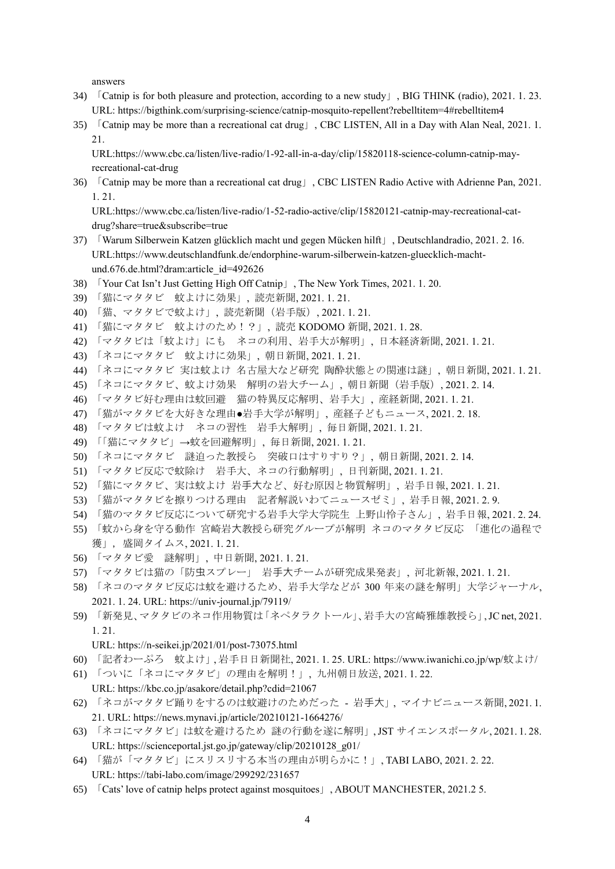[answers](https://www.npr.org/2021/01/22/959700116/how-does-catnip-make-cats-high-new-study-offers-answers)

- 34) 「Catnip is for both pleasure and protection, according to a new study」, BIG THINK (radio), 2021. 1. 23. URL: <https://bigthink.com/surprising-science/catnip-mosquito-repellent?rebelltitem=4#rebelltitem4>
- 35) 「Catnip may be more than a recreational cat drug」, CBC LISTEN, All in a Day with Alan Neal, 2021. 1. 21.

URL[:https://www.cbc.ca/listen/live-radio/1-92-all-in-a-day/clip/15820118-science-column-catnip-may](https://www.cbc.ca/listen/live-radio/1-92-all-in-a-day/clip/15820118-science-column-catnip-may-recreational-cat-drug)[recreational-cat-drug](https://www.cbc.ca/listen/live-radio/1-92-all-in-a-day/clip/15820118-science-column-catnip-may-recreational-cat-drug)

36) 「Catnip may be more than a recreational cat drug」, CBC LISTEN Radio Active with Adrienne Pan, 2021. 1. 21.

URL[:https://www.cbc.ca/listen/live-radio/1-52-radio-active/clip/15820121-catnip-may-recreational-cat](https://www.cbc.ca/listen/live-radio/1-52-radio-active/clip/15820121-catnip-may-recreational-cat-drug?share=true&subscribe=true)[drug?share=true&subscribe=true](https://www.cbc.ca/listen/live-radio/1-52-radio-active/clip/15820121-catnip-may-recreational-cat-drug?share=true&subscribe=true)

- 37) 「Warum Silberwein Katzen glücklich macht und gegen Mücken hilft」, Deutschlandradio, 2021. 2. 16. URL:https://www.deutschlandfunk.de/endorphine-warum-silberwein-katzen-gluecklich-machtund.676.de.html?dram:article\_id=492626
- 38) 「Your Cat Isn't Just Getting High Off Catnip」, The New York Times, 2021. 1. 20.
- 39) 「猫にマタタビ 蚊よけに効果」, 読売新聞, 2021. 1. 21.
- 40) 「猫、マタタビで蚊よけ」, 読売新聞(岩手版), 2021. 1. 21.
- 41) 「猫にマタタビ 蚊よけのため!?」, 読売 KODOMO 新聞, 2021. 1. 28.
- 42) 「マタタビは「蚊よけ」にも ネコの利用、岩手大が解明」, 日本経済新聞, 2021. 1. 21.
- 43) 「ネコにマタタビ 蚊よけに効果」, 朝日新聞, 2021. 1. 21.
- 44) 「ネコにマタタビ 実は蚊よけ 名古屋大など研究 陶酔状態との関連は謎」, 朝日新聞, 2021. 1. 21.
- 45) 「ネコにマタタビ、蚊よけ効果 解明の岩大チーム」, 朝日新聞(岩手版), 2021. 2. 14.
- 46) 「マタタビ好む理由は蚊回避 猫の特異反応解明、岩手大」, 産経新聞, 2021. 1. 21.
- 47) 「猫がマタタビを大好きな理由●岩手大学が解明」, 産経子どもニュース, 2021. 2. 18.
- 48) 「マタタビは蚊よけ ネコの習性 岩手大解明」, 毎日新聞, 2021. 1. 21.
- 49) 「「猫にマタタビ」→蚊を回避解明」, 毎日新聞, 2021. 1. 21.
- 50) 「ネコにマタタビ 謎迫った教授ら 突破口はすりすり?」, 朝日新聞, 2021. 2. 14.
- 51) 「マタタビ反応で蚊除け 岩手大、ネコの行動解明」, 日刊新聞, 2021. 1. 21.
- 52) 「猫にマタタビ、実は蚊よけ 岩⼿⼤など、好む原因と物質解明」, 岩手日報, 2021. 1. 21.
- 53) 「猫がマタタビを擦りつける理由 記者解説いわてニュースゼミ」, 岩手日報, 2021. 2. 9.
- 54) 「猫のマタタビ反応について研究する岩手大学大学院生 上野山怜子さん」, 岩手日報, 2021. 2. 24.
- 55) 「蚊から身を守る動作 宮崎岩⼤教授ら研究グループが解明 ネコのマタタビ反応 「進化の過程で 獲」, 盛岡タイムス, 2021. 1. 21.
- 56) 「マタタビ愛 謎解明」, 中日新聞, 2021. 1. 21.
- 57) 「マタタビは猫の「防⾍スプレー」 岩⼿⼤チームが研究成果発表」, 河北新報, 2021. 1. 21.
- 58) 「ネコのマタタビ反応は蚊を避けるため、岩手大学などが 300 年来の謎を解明」大学ジャーナル, 2021. 1. 24. URL:<https://univ-journal.jp/79119/>
- 59) 「新発見、マタタビのネコ作用物質は「ネペタラクトール」、岩手大の宮崎雅雄教授ら」, JC net, 2021. 1. 21.
	- URL:<https://n-seikei.jp/2021/01/post-73075.html>
- 60) 「記者わーぷろ 蚊よけ」, 岩手日日新聞社, 2021. 1. 25. URL: [https://www.iwanichi.co.jp/wp/](https://www.iwanichi.co.jp/wp/蚊よけ/)蚊よけ/
- 61) 「ついに「ネコにマタタビ」の理由を解明!」, 九州朝日放送, 2021. 1. 22.

URL: <https://kbc.co.jp/asakore/detail.php?cdid=21067>

- 62) 「ネコがマタタビ踊りをするのは蚊避けのためだった 岩⼿⼤」, マイナビニュース新聞, 2021. 1. 21. URL:<https://news.mynavi.jp/article/20210121-1664276/>
- 63) 「ネコにマタタビ」は蚊を避けるため 謎の行動を遂に解明」, JST サイエンスポータル, 2021. 1. 28. URL: [https://scienceportal.jst.go.jp/gateway/clip/20210128\\_g01/](https://scienceportal.jst.go.jp/gateway/clip/20210128_g01/)
- 64) 「猫が「マタタビ」にスリスリする本当の理由が明らかに!」, TABI LABO, 2021. 2. 22. URL: <https://tabi-labo.com/image/299292/231657>
- 65) 「Cats' love of catnip helps protect against mosquitoes」, ABOUT MANCHESTER, 2021.2 5.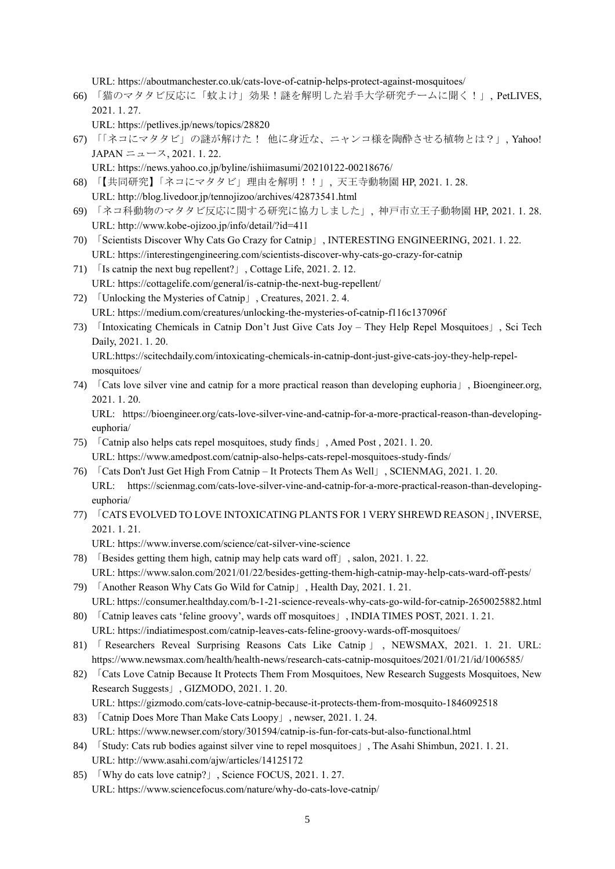URL:<https://aboutmanchester.co.uk/cats-love-of-catnip-helps-protect-against-mosquitoes/>

66) 「猫のマタタビ反応に「蚊よけ」効果!謎を解明した岩手大学研究チームに聞く!」, PetLIVES, 2021. 1. 27.

URL:<https://petlives.jp/news/topics/28820>

- 67) 「「ネコにマタタビ」の謎が解けた! 他に身近な、ニャンコ様を陶酔させる植物とは?」, Yahoo!  $JAPAN = \pm -7, 2021, 1, 22.$ 
	- URL:<https://news.yahoo.co.jp/byline/ishiimasumi/20210122-00218676/>
- 68) 「【共同研究】「ネコにマタタビ」理由を解明!!」, 天王寺動物園 HP, 2021. 1. 28. URL: http://blog.livedoor.jp/tennojizoo/archives/42873541.html
- 69) 「ネコ科動物のマタタビ反応に関する研究に協力しました」, 神戸市立王子動物園 HP, 2021. 1. 28. URL: http://www.kobe-ojizoo.jp/info/detail/?id=411
- 70) 「Scientists Discover Why Cats Go Crazy for Catnip」, INTERESTING ENGINEERING, 2021. 1. 22. URL:<https://interestingengineering.com/scientists-discover-why-cats-go-crazy-for-catnip>
- 71) 「Is catnip the next bug repellent?」, Cottage Life, 2021. 2. 12. URL:<https://cottagelife.com/general/is-catnip-the-next-bug-repellent/>
- 72) 「Unlocking the Mysteries of Catnip」, Creatures, 2021. 2. 4. URL:<https://medium.com/creatures/unlocking-the-mysteries-of-catnip-f116c137096f>
- 73) 「Intoxicating Chemicals in Catnip Don't Just Give Cats Joy They Help Repel Mosquitoes」, Sci Tech Daily, 2021. 1. 20.

URL[:https://scitechdaily.com/intoxicating-chemicals-in-catnip-dont-just-give-cats-joy-they-help-repel](https://scitechdaily.com/intoxicating-chemicals-in-catnip-dont-just-give-cats-joy-they-help-repel-mosquitoes/)[mosquitoes/](https://scitechdaily.com/intoxicating-chemicals-in-catnip-dont-just-give-cats-joy-they-help-repel-mosquitoes/)

74) 「Cats love silver vine and catnip for a more practical reason than developing euphoria」, Bioengineer.org, 2021. 1. 20.

URL: [https://bioengineer.org/cats-love-silver-vine-and-catnip-for-a-more-practical-reason-than-developing](https://bioengineer.org/cats-love-silver-vine-and-catnip-for-a-more-practical-reason-than-developing-euphoria/)[euphoria/](https://bioengineer.org/cats-love-silver-vine-and-catnip-for-a-more-practical-reason-than-developing-euphoria/)

- 75) 「Catnip also helps cats repel mosquitoes, study finds」, Amed Post , 2021. 1. 20. URL:<https://www.amedpost.com/catnip-also-helps-cats-repel-mosquitoes-study-finds/>
- 76) 「Cats Don't Just Get High From Catnip It Protects Them As Well」, SCIENMAG, 2021. 1. 20. URL: https://scienmag.com/cats-love-silver-vine-and-catnip-for-a-more-practical-reason-than-developingeuphoria/
- 77) 「CATS EVOLVED TO LOVE INTOXICATING PLANTS FOR 1 VERY SHREWD REASON」, INVERSE, 2021. 1. 21.

URL:<https://www.inverse.com/science/cat-silver-vine-science>

- 78) 「Besides getting them high, catnip may help cats ward off」, salon, 2021. 1. 22. URL: https://www.salon.com/2021/01/22/besides-getting-them-high-catnip-may-help-cats-ward-off-pests/
- 79) 「Another Reason Why Cats Go Wild for Catnip」, Health Day, 2021. 1. 21. URL[: https://consumer.healthday.com/b-1-21-science-reveals-why-cats-go-wild-for-catnip-2650025882.html](https://consumer.healthday.com/b-1-21-science-reveals-why-cats-go-wild-for-catnip-2650025882.html)
- 80) 「Catnip leaves cats 'feline groovy', wards off mosquitoes」, INDIA TIMES POST, 2021. 1. 21. URL:<https://indiatimespost.com/catnip-leaves-cats-feline-groovy-wards-off-mosquitoes/>
- 81) 「 Researchers Reveal Surprising Reasons Cats Like Catnip 」, NEWSMAX, 2021. 1. 21. URL: <https://www.newsmax.com/health/health-news/research-cats-catnip-mosquitoes/2021/01/21/id/1006585/>
- 82) **Cats Love Catnip Because It Protects Them From Mosquitoes, New Research Suggests Mosquitoes, New** Research Suggests」, GIZMODO, 2021. 1. 20.
- URL:<https://gizmodo.com/cats-love-catnip-because-it-protects-them-from-mosquito-1846092518> 83) 「Catnip Does More Than Make Cats Loopy」, newser, 2021. 1. 24.

URL:<https://www.newser.com/story/301594/catnip-is-fun-for-cats-but-also-functional.html>

- 84) 「Study: Cats rub bodies against silver vine to repel mosquitoes」, The Asahi Shimbun, 2021. 1. 21. URL:<http://www.asahi.com/ajw/articles/14125172>
- 85) Why do cats love catnip? J, Science FOCUS, 2021. 1. 27. URL:<https://www.sciencefocus.com/nature/why-do-cats-love-catnip/>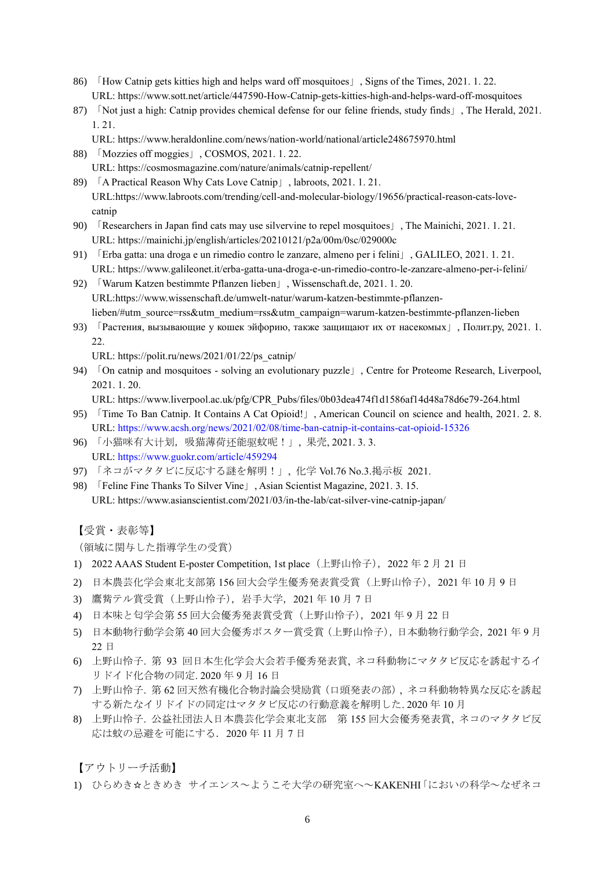- 86) 「How Catnip gets kitties high and helps ward off mosquitoes」, Signs of the Times, 2021. 1. 22. URL:<https://www.sott.net/article/447590-How-Catnip-gets-kitties-high-and-helps-ward-off-mosquitoes>
- 87) 「Not just a high: Catnip provides chemical defense for our feline friends, study finds」, The Herald, 2021. 1. 21.
	- URL:<https://www.heraldonline.com/news/nation-world/national/article248675970.html>
- 88) 「Mozzies off moggies」, COSMOS, 2021. 1. 22. URL:<https://cosmosmagazine.com/nature/animals/catnip-repellent/>
- 89) 「A Practical Reason Why Cats Love Catnip」, labroots, 2021. 1. 21. URL[:https://www.labroots.com/trending/cell-and-molecular-biology/19656/practical-reason-cats-love](https://www.labroots.com/trending/cell-and-molecular-biology/19656/practical-reason-cats-love-catnip)[catnip](https://www.labroots.com/trending/cell-and-molecular-biology/19656/practical-reason-cats-love-catnip)
- 90) 「Researchers in Japan find cats may use silvervine to repel mosquitoes」, The Mainichi, 2021. 1. 21. URL:<https://mainichi.jp/english/articles/20210121/p2a/00m/0sc/029000c>
- 91) 「Erba gatta: una droga e un rimedio contro le zanzare, almeno per i felini」, GALILEO, 2021. 1. 21. URL:<https://www.galileonet.it/erba-gatta-una-droga-e-un-rimedio-contro-le-zanzare-almeno-per-i-felini/>
- 92) 「Warum Katzen bestimmte Pflanzen lieben」, Wissenschaft.de, 2021. 1. 20. URL[:https://www.wissenschaft.de/umwelt-natur/warum-katzen-bestimmte-pflanzen](https://www.wissenschaft.de/umwelt-natur/warum-katzen-bestimmte-pflanzen-lieben/#utm_source=rss&utm_medium=rss&utm_campaign=warum-katzen-bestimmte-pflanzen-lieben)[lieben/#utm\\_source=rss&utm\\_medium=rss&utm\\_campaign=warum-katzen-bestimmte-pflanzen-lieben](https://www.wissenschaft.de/umwelt-natur/warum-katzen-bestimmte-pflanzen-lieben/#utm_source=rss&utm_medium=rss&utm_campaign=warum-katzen-bestimmte-pflanzen-lieben)
- 93) 「Растения, вызывающие у кошек эйфорию, также защищают их от насекомых」, Полит.ру, 2021. 1. 22.

URL: [https://polit.ru/news/2021/01/22/ps\\_catnip/](https://polit.ru/news/2021/01/22/ps_catnip/)

- 94) 「On catnip and mosquitoes solving an evolutionary puzzle」, Centre for Proteome Research, Liverpool, 2021. 1. 20.
	- URL: [https://www.liverpool.ac.uk/pfg/CPR\\_Pubs/files/0b03dea474f1d1586af14d48a78d6e79-264.html](https://www.liverpool.ac.uk/pfg/CPR_Pubs/files/0b03dea474f1d1586af14d48a78d6e79-264.html)
- 95) 「Time To Ban Catnip. It Contains A Cat Opioid!」, American Council on science and health, 2021. 2. 8. URL: https://www.acsh.org/news/2021/02/08/time-ban-catnip-it-contains-cat-opioid-15326
- 96) 「小猫咪有大计划,吸猫薄荷还能驱蚊呢!」, 果壳, 2021. 3. 3. URL:<https://www.guokr.com/article/459294>
- 97) 「ネコがマタタビに反応する謎を解明!」, 化学 Vol.76 No.3.掲示板 2021.
- 98) 「Feline Fine Thanks To Silver Vine」, Asian Scientist Magazine, 2021. 3. 15. URL: https://www.asianscientist.com/2021/03/in-the-lab/cat-silver-vine-catnip-japan/

【受賞・表彰等】

(領域に関与した指導学生の受賞)

- 1) 2022 AAAS Student E-poster Competition, 1st place (上野山怜子), 2022 年 2 月 21 日
- 2) 日本農芸化学会東北支部第 156 回大会学生優秀発表賞受賞(上野山怜子),2021 年 10 月 9 日
- 3) 鷹觜テル賞受賞(上野山怜子),岩手大学,2021 年 10 月 7 日
- 4) 日本味と匂学会第 55 回大会優秀発表賞受賞(上野山怜子),2021 年 9 月 22 日
- 5) 日本動物行動学会第 40 回大会優秀ポスター賞受賞(上野山怜子),日本動物行動学会,2021 年 9 月 22 日
- 6) 上野山怜子. 第 93 回日本生化学会大会若手優秀発表賞, ネコ科動物にマタタビ反応を誘起するイ リドイド化合物の同定. 2020 年 9 月 16 日
- 7) 上野山怜子. 第 62 回天然有機化合物討論会奨励賞(口頭発表の部), ネコ科動物特異な反応を誘起 する新たなイリドイドの同定はマタタビ反応の行動意義を解明した. 2020 年 10 月
- 8) 上野山怜子. 公益社団法人日本農芸化学会東北支部 第 155 回大会優秀発表賞, ネコのマタタビ反 応は蚊の忌避を可能にする.2020 年 11 月 7 日

【アウトリーチ活動】

1) ひらめき☆ときめき サイエンス~ようこそ大学の研究室へ~KAKENHI「においの科学~なぜネコ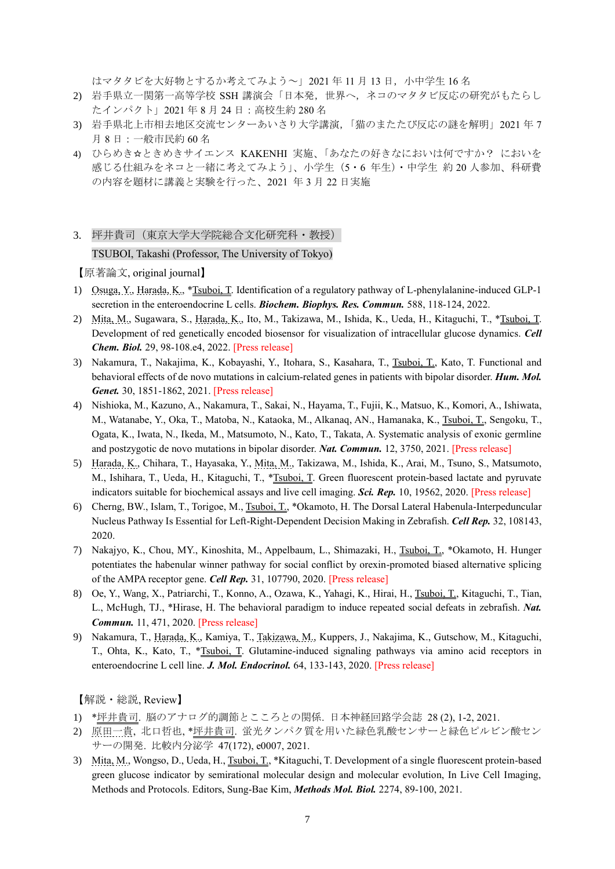はマタタビを大好物とするか考えてみよう~」2021 年 11 月 13 日,小中学生 16 名

- 2) 岩手県立一関第一高等学校 SSH 講演会「日本発,世界へ,ネコのマタタビ反応の研究がもたらし たインパクト」2021 年 8 月 24 日:高校生約 280 名
- 3) 岩手県北上市相去地区交流センターあいさり大学講演,「猫のまたたび反応の謎を解明」2021 年 7 月 8 日:一般市民約 60 名
- 4) ひらめき☆ときめきサイエンス KAKENHI 実施、「あなたの好きなにおいは何ですか? においを 感じる仕組みをネコと一緒に考えてみよう」、小学生(5・6 年生)・中学生 約 20 人参加、科研費 の内容を題材に講義と実験を行った、2021 年 3 月 22 日実施
- 3. 坪井貴司(東京大学大学院総合文化研究科・教授) TSUBOI, Takashi (Professor, The University of Tokyo)

【原著論文, original journal】

- 1) Osuga, Y., Harada, K., \*Tsuboi, T. Identification of a regulatory pathway of L-phenylalanine-induced GLP-1 secretion in the enteroendocrine L cells. *Biochem. Biophys. Res. Commun.* 588, 118-124, 2022.
- 2) Mita, M., Sugawara, S., Harada, K., Ito, M., Takizawa, M., Ishida, K., Ueda, H., Kitaguchi, T., \*Tsuboi, T. Development of red genetically encoded biosensor for visualization of intracellular glucose dynamics. *Cell Chem. Biol.* 29, 98-108.e4, 2022. [Press release]
- 3) Nakamura, T., Nakajima, K., Kobayashi, Y., Itohara, S., Kasahara, T., Tsuboi, T., Kato, T. Functional and behavioral effects of de novo mutations in calcium-related genes in patients with bipolar disorder. *Hum. Mol. Genet.* 30, 1851-1862, 2021. [Press release]
- 4) Nishioka, M., Kazuno, A., Nakamura, T., Sakai, N., Hayama, T., Fujii, K., Matsuo, K., Komori, A., Ishiwata, M., Watanabe, Y., Oka, T., Matoba, N., Kataoka, M., Alkanaq, AN., Hamanaka, K., Tsuboi, T., Sengoku, T., Ogata, K., Iwata, N., Ikeda, M., Matsumoto, N., Kato, T., Takata, A. Systematic analysis of exonic germline and postzygotic de novo mutations in bipolar disorder. *Nat. Commun.* 12, 3750, 2021. [Press release]
- 5) Harada, K., Chihara, T., Hayasaka, Y., Mita, M., Takizawa, M., Ishida, K., Arai, M., Tsuno, S., Matsumoto, M., Ishihara, T., Ueda, H., Kitaguchi, T., \*Tsuboi, T. Green fluorescent protein-based lactate and pyruvate indicators suitable for biochemical assays and live cell imaging. *Sci. Rep.* 10, 19562, 2020. [Press release]
- 6) Cherng, BW., Islam, T., Torigoe, M., Tsuboi, T., \*Okamoto, H. The Dorsal Lateral Habenula-Interpeduncular Nucleus Pathway Is Essential for Left-Right-Dependent Decision Making in Zebrafish. *Cell Rep.* 32, 108143, 2020.
- 7) Nakajyo, K., Chou, MY., Kinoshita, M., Appelbaum, L., Shimazaki, H., Tsuboi, T., \*Okamoto, H. Hunger potentiates the habenular winner pathway for social conflict by orexin-promoted biased alternative splicing of the AMPA receptor gene. *Cell Rep.* 31, 107790, 2020. [Press release]
- 8) Oe, Y., Wang, X., Patriarchi, T., Konno, A., Ozawa, K., Yahagi, K., Hirai, H., Tsuboi, T., Kitaguchi, T., Tian, L., McHugh, TJ., \*Hirase, H. The behavioral paradigm to induce repeated social defeats in zebrafish. *Nat. Commun.* 11, 471, 2020. [Press release]
- 9) Nakamura, T., Harada, K., Kamiya, T., Takizawa, M., Kuppers, J., Nakajima, K., Gutschow, M., Kitaguchi, T., Ohta, K., Kato, T., \*Tsuboi, T. Glutamine-induced signaling pathways via amino acid receptors in enteroendocrine L cell line. *J. Mol. Endocrinol.* 64, 133-143, 2020. [Press release]

- 1) \*坪井貴司. 脳のアナログ的調節とこころとの関係. 日本神経回路学会誌 28 (2), 1-2, 2021.
- 2) 原田一貴, 北口哲也, \*坪井貴司. 蛍光タンパク質を用いた緑色乳酸センサーと緑色ピルビン酸セン サーの開発. 比較内分泌学 47(172), e0007, 2021.
- 3) Mita, M., Wongso, D., Ueda, H., Tsuboi, T., \*Kitaguchi, T. Development of a single fluorescent protein-based green glucose indicator by semirational molecular design and molecular evolution, In Live Cell Imaging, Methods and Protocols. Editors, Sung-Bae Kim, *Methods Mol. Biol.* 2274, 89-100, 2021.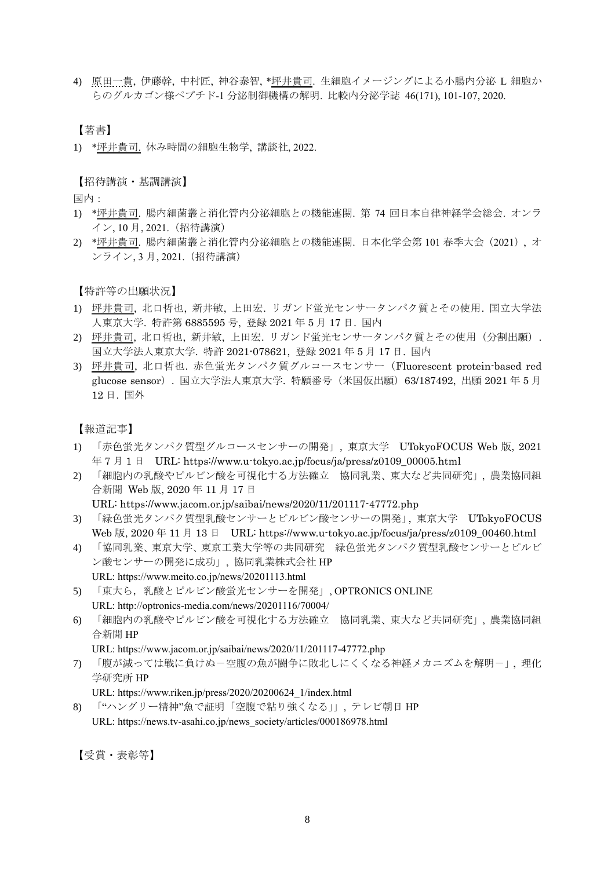4) 原田一貴, 伊藤幹, 中村匠, 神谷泰智, \*坪井貴司. 生細胞イメージングによる小腸内分泌 L 細胞か らのグルカゴン様ペプチド-1 分泌制御機構の解明. 比較内分泌学誌 46(171), 101-107, 2020.

## 【著書】

1) \*坪井貴司. 休み時間の細胞生物学, 講談社, 2022.

### 【招待講演・基調講演】

国内:

- 1) \*坪井貴司. 腸内細菌叢と消化管内分泌細胞との機能連関. 第 74 回日本自律神経学会総会. オンラ イン, 10 月, 2021.(招待講演)
- 2) \*坪井貴司. 腸内細菌叢と消化管内分泌細胞との機能連関. 日本化学会第 101 春季大会(2021), オ ンライン, 3 月, 2021.(招待講演)

【特許等の出願状況】

- 1) 坪井貴司, 北口哲也, 新井敏, 上田宏. リガンド蛍光センサータンパク質とその使用. 国立大学法 人東京大学. 特許第 6885595 号, 登録 2021 年 5 月 17 日. 国内
- 2) 坪井貴司, 北口哲也, 新井敏, 上田宏. リガンド蛍光センサータンパク質とその使用(分割出願). 国立大学法人東京大学. 特許 2021-078621, 登録 2021 年 5 月 17 日. 国内
- 3) 坪井貴司, 北口哲也. 赤色蛍光タンパク質グルコースセンサー(Fluorescent protein-based red glucose sensor). 国立大学法人東京大学. 特願番号(米国仮出願)63/187492, 出願 2021 年 5 月 12 日. 国外

【報道記事】

- 1) 「赤色蛍光タンパク質型グルコースセンサーの開発」, 東京大学 UTokyoFOCUS Web 版, 2021 年 7 月 1 日 URL: https://www.u-tokyo.ac.jp/focus/ja/press/z0109\_00005.html
- 2) 「細胞内の乳酸やピルビン酸を可視化する方法確立 協同乳業、東大など共同研究」, 農業協同組 合新聞 Web 版, 2020 年 11 月 17 日 URL: https://www.jacom.or.jp/saibai/news/2020/11/201117-47772.php
- 3) 「緑色蛍光タンパク質型乳酸センサーとピルビン酸センサーの開発」, 東京大学 UTokyoFOCUS Web 版, 2020 年 11 月 13 日 URL: https://www.u-tokyo.ac.jp/focus/ja/press/z0109\_00460.html
- 4) 「協同乳業、東京大学、東京工業大学等の共同研究 緑色蛍光タンパク質型乳酸センサーとピルビ ン酸センサーの開発に成功」, 協同乳業株式会社 HP URL: https://www.meito.co.jp/news/20201113.html
- 5) 「東大ら,乳酸とピルビン酸蛍光センサーを開発」, OPTRONICS ONLINE URL: http://optronics-media.com/news/20201116/70004/
- 6) 「細胞内の乳酸やピルビン酸を可視化する方法確立 協同乳業、東大など共同研究」, 農業協同組 合新聞 HP

URL: https://www.jacom.or.jp/saibai/news/2020/11/201117-47772.php

7) 「腹が減っては戦に負けぬ-空腹の魚が闘争に敗北しにくくなる神経メカニズムを解明-」, 理化 学研究所 HP

URL: https://www.riken.jp/press/2020/20200624\_1/index.html

8) 「"ハングリー精神"魚で証明「空腹で粘り強くなる」」, テレビ朝日 HP URL: https://news.tv-asahi.co.jp/news\_society/articles/000186978.html

【受賞・表彰等】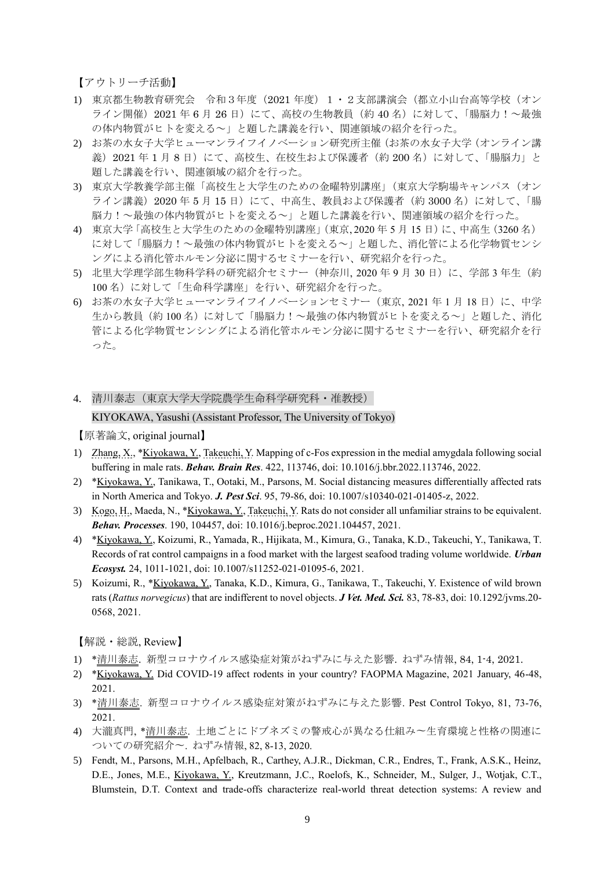【アウトリーチ活動】

- 1) 東京都生物教育研究会 令和3年度(2021 年度)1・2支部講演会(都立小山台高等学校(オン ライン開催) 2021 年 6 月 26 日)にて、高校の生物教員(約 40 名)に対して、「腸脳力!~最強 の体内物質がヒトを変える~」と題した講義を行い、関連領域の紹介を行った。
- 2) お茶の水女子大学ヒューマンライフイノベーション研究所主催(お茶の水女子大学(オンライン講 義) 2021 年 1 月 8 日) にて、高校生、在校生および保護者(約 200 名) に対して、「腸脳力」と 題した講義を行い、関連領域の紹介を行った。
- 3) 東京大学教養学部主催「高校生と大学生のための金曜特別講座」(東京大学駒場キャンパス(オン ライン講義)2020 年 5 月 15 日)にて、中高生、教員および保護者(約 3000 名)に対して、「腸 脳力!~最強の体内物質がヒトを変える~」と題した講義を行い、関連領域の紹介を行った。
- 4) 東京大学「高校生と大学生のための金曜特別講座」(東京, 2020 年 5 月 15 日)に、中高生(3260 名) に対して「腸脳力!~最強の体内物質がヒトを変える~」と題した、消化管による化学物質センシ ングによる消化管ホルモン分泌に関するセミナーを行い、研究紹介を行った。
- 5) 北里大学理学部生物科学科の研究紹介セミナー (神奈川, 2020 年 9 月 30 日) に、学部 3 年生 (約 100名)に対して「生命科学講座」を行い、研究紹介を行った。
- 6) お茶の水女子大学ヒューマンライフイノベーションセミナー (東京, 2021年1月18日)に、中学 生から教員(約100名)に対して「腸脳力!~最強の体内物質がヒトを変える~」と題した、消化 管による化学物質センシングによる消化管ホルモン分泌に関するセミナーを行い、研究紹介を行 った。
- 4. 清川泰志(東京大学大学院農学生命科学研究科・准教授)

#### KIYOKAWA, Yasushi (Assistant Professor, The University of Tokyo)

【原著論文, original journal】

- 1) Zhang, X., \*Kiyokawa, Y., Takeuchi, Y. Mapping of c-Fos expression in the medial amygdala following social buffering in male rats. *Behav. Brain Res*. 422, 113746, doi: 10.1016/j.bbr.2022.113746, 2022.
- 2) \*Kiyokawa, Y., Tanikawa, T., Ootaki, M., Parsons, M. Social distancing measures differentially affected rats in North America and Tokyo. *J. Pest Sci*. 95, 79-86, doi: 10.1007/s10340-021-01405-z, 2022.
- 3) Kogo, H., Maeda, N., \*Kiyokawa, Y., Takeuchi, Y. Rats do not consider all unfamiliar strains to be equivalent. *Behav. Processes*. 190, 104457, doi: 10.1016/j.beproc.2021.104457, 2021.
- 4) \*Kiyokawa, Y., Koizumi, R., Yamada, R., Hijikata, M., Kimura, G., Tanaka, K.D., Takeuchi, Y., Tanikawa, T. Records of rat control campaigns in a food market with the largest seafood trading volume worldwide. *Urban Ecosyst.* 24, 1011-1021, doi: 10.1007/s11252-021-01095-6, 2021.
- 5) Koizumi, R., \*Kiyokawa, Y., Tanaka, K.D., Kimura, G., Tanikawa, T., Takeuchi, Y. Existence of wild brown rats (*Rattus norvegicus*) that are indifferent to novel objects. *J Vet. Med. Sci.* 83, 78-83, doi: 10.1292/jvms.20- 0568, 2021.

- 1) \*清川泰志. 新型コロナウイルス感染症対策がねずみに与えた影響. ねずみ情報, 84, 1-4, 2021.
- 2) \*Kiyokawa, Y. Did COVID-19 affect rodents in your country? FAOPMA Magazine, 2021 January, 46-48, 2021.
- 3) \*清川泰志. 新型コロナウイルス感染症対策がねずみに与えた影響. Pest Control Tokyo, 81, 73-76, 2021.
- 4) 大瀧真門, \*清川泰志. 土地ごとにドブネズミの警戒心が異なる仕組み〜生育環境と性格の関連に ついての研究紹介〜. ねずみ情報, 82, 8-13, 2020.
- 5) Fendt, M., Parsons, M.H., Apfelbach, R., Carthey, A.J.R., Dickman, C.R., Endres, T., Frank, A.S.K., Heinz, D.E., Jones, M.E., Kiyokawa, Y., Kreutzmann, J.C., Roelofs, K., Schneider, M., Sulger, J., Wotjak, C.T., Blumstein, D.T. Context and trade-offs characterize real-world threat detection systems: A review and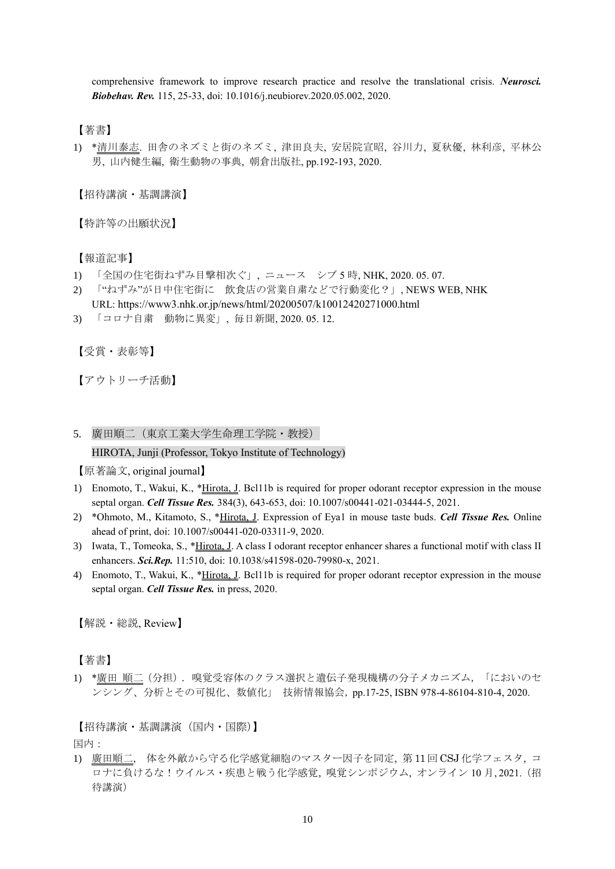comprehensive framework to improve research practice and resolve the translational crisis. *Neurosci. Biobehav. Rev.* 115, 25-33, doi: 10.1016/j.neubiorev.2020.05.002, 2020.

## 【著書】

1) \*清川泰志. 田舎のネズミと街のネズミ, 津田良夫, 安居院宣昭, 谷川力, 夏秋優, 林利彦, 平林公 男, 山内健生編, 衛生動物の事典, 朝倉出版社, pp.192-193, 2020.

【招待講演・基調講演】

【特許等の出願状況】

【報道記事】

- 1) 「全国の住宅街ねずみ目撃相次ぐ」, ニュース シブ 5 時, NHK, 2020. 05. 07.
- 2) 「"ねずみ"が日中住宅街に 飲食店の営業自粛などで行動変化?」, NEWS WEB, NHK
- URL: https://www3.nhk.or.jp/news/html/20200507/k10012420271000.html
- 3) 「コロナ自粛 動物に異変」, 毎日新聞, 2020. 05. 12.

【受賞・表彰等】

【アウトリーチ活動】

5. 廣田順二(東京工業大学生命理工学院・教授)

### HIROTA, Junji (Professor, Tokyo Institute of Technology)

【原著論文, original journal】

- 1) Enomoto, T., Wakui, K., \*Hirota, J. Bcl11b is required for proper odorant receptor expression in the mouse septal organ. *Cell Tissue Res.* 384(3), 643-653, doi: 10.1007/s00441-021-03444-5, 2021.
- 2) \*Ohmoto, M., Kitamoto, S., \*Hirota, J. Expression of Eya1 in mouse taste buds. *Cell Tissue Res.* Online ahead of print, doi: 10.1007/s00441-020-03311-9, 2020.
- 3) Iwata, T., Tomeoka, S., \**Hirota, J.* A class I odorant receptor enhancer shares a functional motif with class II enhancers. *Sci.Rep.* 11:510, doi: 10.1038/s41598-020-79980-x, 2021.
- 4) Enomoto, T., Wakui, K., \*Hirota, J. Bcl11b is required for proper odorant receptor expression in the mouse septal organ. *Cell Tissue Res.* in press, 2020.

【解説・総説, Review】

【著書】

1) \*廣田 順二(分担). 嗅覚受容体のクラス選択と遺伝子発現機構の分子メカニズム, 「においのセ ンシング、分析とその可視化、数値化」 技術情報協会, pp.17-25, ISBN 978-4-86104-810-4, 2020.

【招待講演・基調講演(国内・国際)】

国内:

1) 廣田順二, 体を外敵から守る化学感覚細胞のマスター因子を同定, 第 11 回 CSJ 化学フェスタ, コ ロナに負けるな!ウイルス・疾患と戦う化学感覚, 嗅覚シンポジウム, オンライン 10 月, 2021.(招 待講演)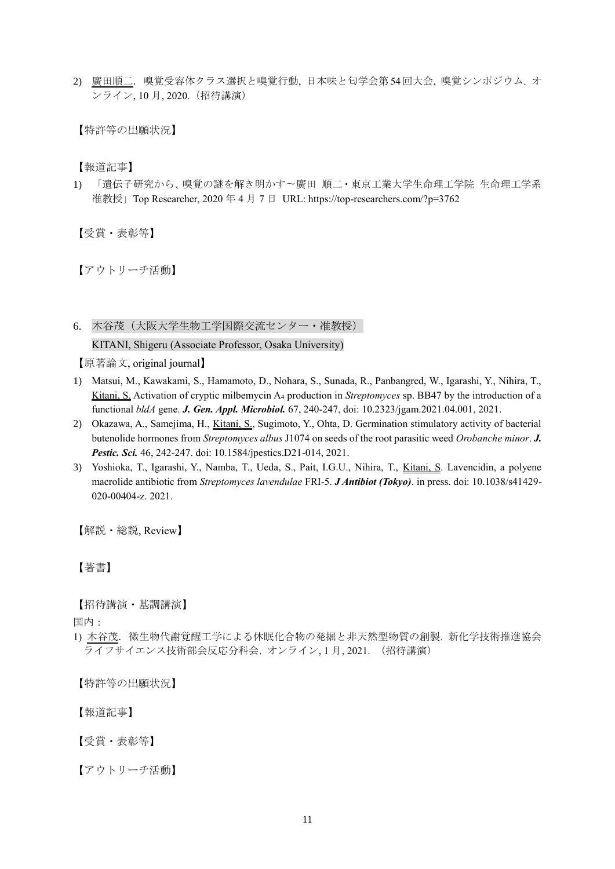2) 廣田順二. 嗅覚受容体クラス選択と嗅覚行動, 日本味と匂学会第 54回大会, 嗅覚シンポジウム. オ ンライン, 10 月, 2020.(招待講演)

【特許等の出願状況】

【報道記事】

1) 「遺伝子研究から、嗅覚の謎を解き明かす〜廣田 順二・東京工業大学生命理工学院 生命理工学系 准教授」Top Researcher, 2020 年 4 月 7 日 URL: https://top-researchers.com/?p=3762

【受賞・表彰等】

【アウトリーチ活動】

6. 木谷茂(大阪大学生物工学国際交流センター・准教授)

KITANI, Shigeru (Associate Professor, Osaka University)

【原著論文, original journal】

- 1) Matsui, M., Kawakami, S., Hamamoto, D., Nohara, S., Sunada, R., Panbangred, W., Igarashi, Y., Nihira, T., Kitani, S. Activation of cryptic milbemycin A<sup>4</sup> production in *Streptomyces* sp. BB47 by the introduction of a functional *bldA* gene. *J. Gen. Appl. Microbiol.* 67, 240-247, doi: 10.2323/jgam.2021.04.001, 2021.
- 2) Okazawa, A., Samejima, H., Kitani, S., Sugimoto, Y., Ohta, D. Germination stimulatory activity of bacterial butenolide hormones from *Streptomyces albus* J1074 on seeds of the root parasitic weed *Orobanche minor*. *J. Pestic. Sci.* 46, 242-247. doi: 10.1584/jpestics.D21-014, 2021.
- 3) Yoshioka, T., Igarashi, Y., Namba, T., Ueda, S., Pait, I.G.U., Nihira, T., Kitani, S. Lavencidin, a polyene macrolide antibiotic from *Streptomyces lavendulae* FRI-5. *J Antibiot (Tokyo)*. in press. doi: 10.1038/s41429- 020-00404-z. 2021.

【解説・総説, Review】

【著書】

【招待講演・基調講演】

国内:

1) 木谷茂. 微生物代謝覚醒工学による休眠化合物の発掘と非天然型物質の創製. 新化学技術推進協会 -<br>ライフサイエンス技術部会反応分科会. オンライン, 1 月, 2021. (招待講演)

【特許等の出願状況】

【報道記事】

【受賞・表彰等】

【アウトリーチ活動】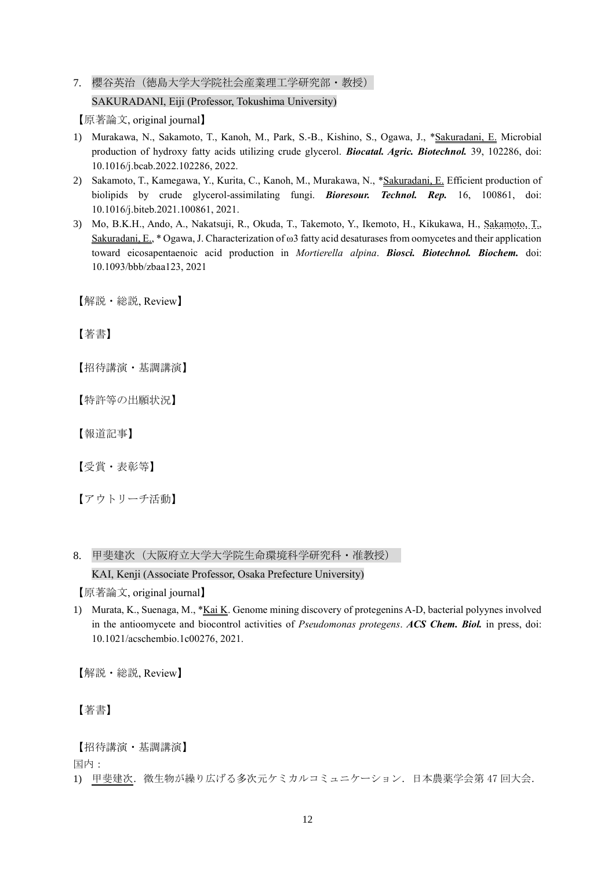7. 櫻谷英治(徳島大学大学院社会産業理工学研究部・教授) SAKURADANI, Eiji (Professor, Tokushima University)

【原著論文, original journal】

- 1) Murakawa, N., Sakamoto, T., Kanoh, M., Park, S.-B., Kishino, S., Ogawa, J., \*Sakuradani, E. Microbial production of hydroxy fatty acids utilizing crude glycerol. *Biocatal. Agric. Biotechnol.* 39, 102286, doi: 10.1016/j.bcab.2022.102286, 2022.
- 2) Sakamoto, T., Kamegawa, Y., Kurita, C., Kanoh, M., Murakawa, N., \*Sakuradani, E. Efficient production of biolipids by crude glycerol-assimilating fungi. *Bioresour. Technol. Rep.* 16, 100861, doi: 10.1016/j.biteb.2021.100861, 2021.
- 3) Mo, B.K.H., Ando, A., Nakatsuji, R., Okuda, T., Takemoto, Y., Ikemoto, H., Kikukawa, H., Sakamoto, T., Sakuradani, E., \* Ogawa, J. Characterization of ω3 fatty acid desaturases from oomycetes and their application toward eicosapentaenoic acid production in *Mortierella alpina*. *Biosci. Biotechnol. Biochem.* doi: 10.1093/bbb/zbaa123, 2021

【解説・総説, Review】

【著書】

【招待講演・基調講演】

【特許等の出願状況】

【報道記事】

【受賞・表彰等】

【アウトリーチ活動】

8. 甲斐建次(大阪府立大学大学院生命環境科学研究科・准教授)

KAI, Kenji (Associate Professor, Osaka Prefecture University)

【原著論文, original journal】

1) Murata, K., Suenaga, M., \*Kai K. Genome mining discovery of protegenins A-D, bacterial polyynes involved in the antioomycete and biocontrol activities of *Pseudomonas protegens*. *ACS Chem. Biol.* in press, doi: 10.1021/acschembio.1c00276, 2021.

【解説・総説, Review】

【著書】

【招待講演・基調講演】

国内:

1) 甲斐建次.微生物が繰り広げる多次元ケミカルコミュニケーション.日本農薬学会第 47 回大会.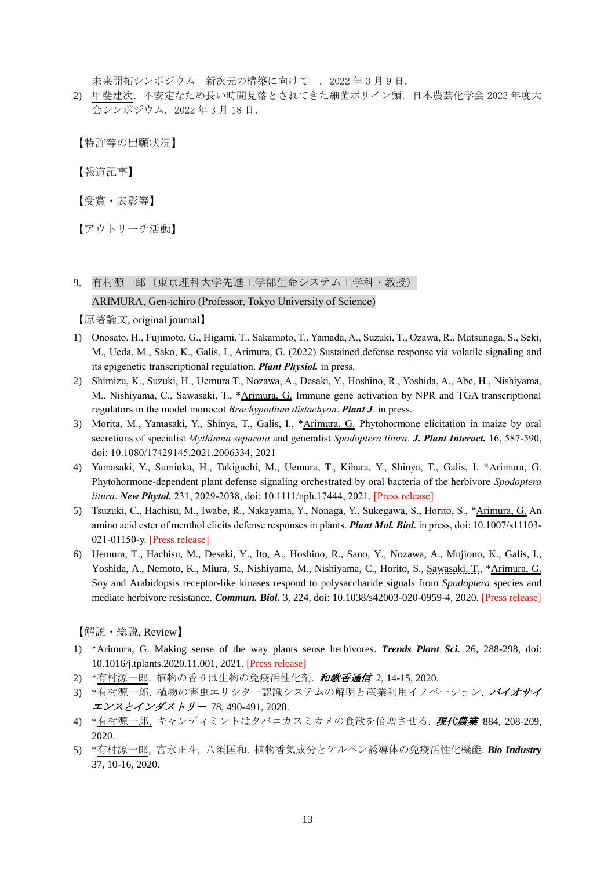未来開拓シンポジウムー新次元の構築に向けてー. 2022年3月9日.

2) 甲斐建次.不安定なため長い時間見落とされてきた細菌ポリイン類.日本農芸化学会 2022 年度大 会シンポジウム.2022 年 3 月 18 日.

【特許等の出願状況】

【報道記事】

【受賞・表彰等】

【アウトリーチ活動】

# 9. 有村源一郎(東京理科大学先進工学部生命システム工学科・教授) ARIMURA, Gen-ichiro (Professor, Tokyo University of Science)

【原著論文, original journal】

- 1) Onosato, H., Fujimoto, G., Higami, T., Sakamoto, T., Yamada, A., Suzuki, T., Ozawa, R., Matsunaga, S., Seki, M., Ueda, M., Sako, K., Galis, I., Arimura, G. (2022) Sustained defense response via volatile signaling and its epigenetic transcriptional regulation. *Plant Physiol.* in press.
- 2) Shimizu, K., Suzuki, H., Uemura T., Nozawa, A., Desaki, Y., Hoshino, R., Yoshida, A., Abe, H., Nishiyama, M., Nishiyama, C., Sawasaki, T., \*Arimura, G. Immune gene activation by NPR and TGA transcriptional regulators in the model monocot *Brachypodium distachyon*. *Plant J.* in press.
- 3) Morita, M., Yamasaki, Y., Shinya, T., Galis, I., \*Arimura, G. Phytohormone elicitation in maize by oral secretions of specialist *Mythimna separata* and generalist *Spodoptera litura*. *J. Plant Interact.* 16, 587-590, [doi: 10.1080/17429145.2021.2006334,](https://doi.org/10.1080/17429145.2021.2006334) 2021
- 4) Yamasaki, Y., Sumioka, H., Takiguchi, M., Uemura, T., Kihara, Y., Shinya, T., Galis, I. \*Arimura, G. Phytohormone-dependent plant defense signaling orchestrated by oral bacteria of the herbivore *Spodoptera litura*. *New Phytol.* 231, 2029-2038, doi: 10.1111/nph.17444, 2021. [Press release]
- 5) Tsuzuki, C., Hachisu, M., Iwabe, R., Nakayama, Y., Nonaga, Y., Sukegawa, S., Horito, S., \*Arimura, G. An amino acid ester of menthol elicits defense responses in plants. *Plant Mol. Biol.* in press, doi: 10.1007/s11103- 021-01150-y. [Press release]
- 6) Uemura, T., Hachisu, M., Desaki, Y., Ito, A., Hoshino, R., Sano, Y., Nozawa, A., Mujiono, K., Galis, I., Yoshida, A., Nemoto, K., Miura, S., Nishiyama, M., Nishiyama, C., Horito, S., Sawasaki, T., \*Arimura, G. Soy and Arabidopsis receptor-like kinases respond to polysaccharide signals from *Spodoptera* species and mediate herbivore resistance. *Commun. Biol.* 3, 224, doi: 10.1038/s42003-020-0959-4, 2020. [Press release]

- 1) \*Arimura, G. Making sense of the way plants sense herbivores. *Trends Plant Sci.* 26, 288-298, doi: 10.1016/j.tplants.2020.11.001, 2021. [Press release]
- 2) \*有村源一郎. 植物の香りは生物の免疫活性化剤. 和歌香通信 2, 14-15, 2020.
- 3) \*有村源一郎. 植物の害虫エリシター認識システムの解明と産業利用イノベーション. バイオサイ エンスとインダストリー 78, 490-491, 2020.
- 4) \*有村源一郎. キャンディミントはタバコカスミカメの食欲を倍増させる. 現代農業 884, 208-209, 2020.
- 5) \*有村源一郎, 宮永正斗, 八須匡和. 植物香気成分とテルペン誘導体の免疫活性化機能. *Bio Industry*  37, 10-16, 2020.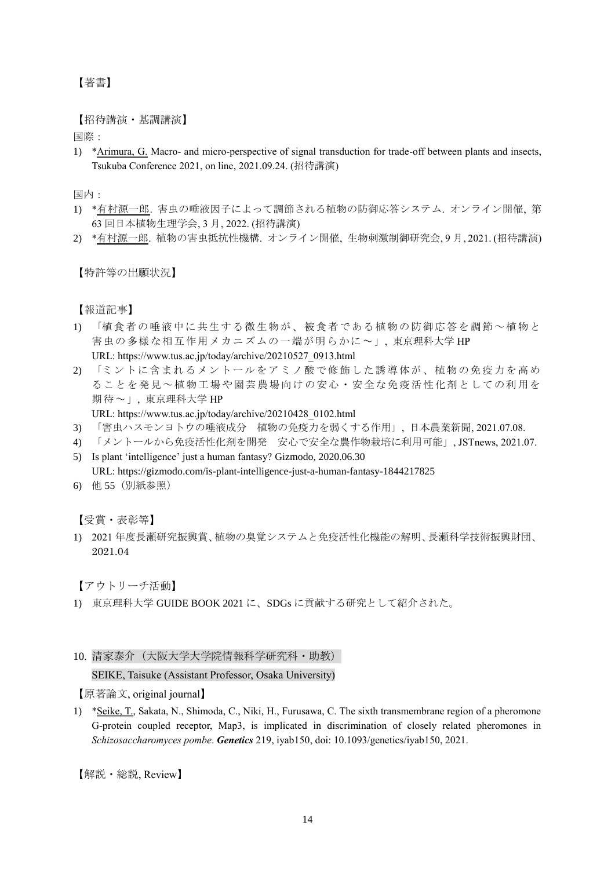# 【著書】

【招待講演・基調講演】

国際:

1) \*Arimura, G. Macro- and micro-perspective of signal transduction for trade-off between plants and insects, Tsukuba Conference 2021, on line, 2021.09.24. (招待講演)

国内:

- 1) \*有村源一郎. 害虫の唾液因子によって調節される植物の防御応答システム. オンライン開催, 第 63 回日本植物生理学会, 3 月, 2022. (招待講演)
- 2) \*有村源一郎. 植物の害虫抵抗性機構. オンライン開催, 生物刺激制御研究会, 9 月, 2021. (招待講演)

【特許等の出願状況】

【報道記事】

- 1) 「植食者の唾液中に共生する微生物が、被食者である植物の防御応答を調節~植物と 害虫の多様な相互作用メカニズムの一端が明らかに~」, 東京理科大学 HP URL: https://www.tus.ac.jp/today/archive/20210527\_0913.html
- 2) 「ミントに含まれるメントールをアミノ酸で修飾した誘導体が、植物の免疫力を高め ることを発見~植物工場や園芸農場向けの安心・安全な免疫活性化剤としての利用を 期待~」, 東京理科大学 HP

URL: [https://www.tus.ac.jp/today/archive/20210428\\_0102.html](https://www.tus.ac.jp/today/archive/20210428_0102.html)

- 3) 「害虫ハスモンヨトウの唾液成分 植物の免疫力を弱くする作用」, 日本農業新聞, 2021.07.08.
- 4) 「メントールから免疫活性化剤を開発 安心で安全な農作物栽培に利用可能」, JSTnews, 2021.07.
- 5) Is plant 'intelligence' just a human fantasy? Gizmodo, 2020.06.30 URL: https://gizmodo.com/is-plant-intelligence-just-a-human-fantasy-1844217825
- 6) 他 55(別紙参照)

【受賞・表彰等】

1) 2021 年度長瀬研究振興賞、植物の臭覚システムと免疫活性化機能の解明、長瀬科学技術振興財団、 2021.04

【アウトリーチ活動】

- 1) 東京理科大学 GUIDE BOOK 2021 に、SDGs に貢献する研究として紹介された。
- 10. 清家泰介(大阪大学大学院情報科学研究科・助教)

SEIKE, Taisuke (Assistant Professor, Osaka University)

【原著論文, original journal】

1) \*Seike, T., Sakata, N., Shimoda, C., Niki, H., Furusawa, C. The sixth transmembrane region of a pheromone G-protein coupled receptor, Map3, is implicated in discrimination of closely related pheromones in *Schizosaccharomyces pombe*. *Genetics* 219, iyab150, doi: 10.1093/genetics/iyab150, 2021.